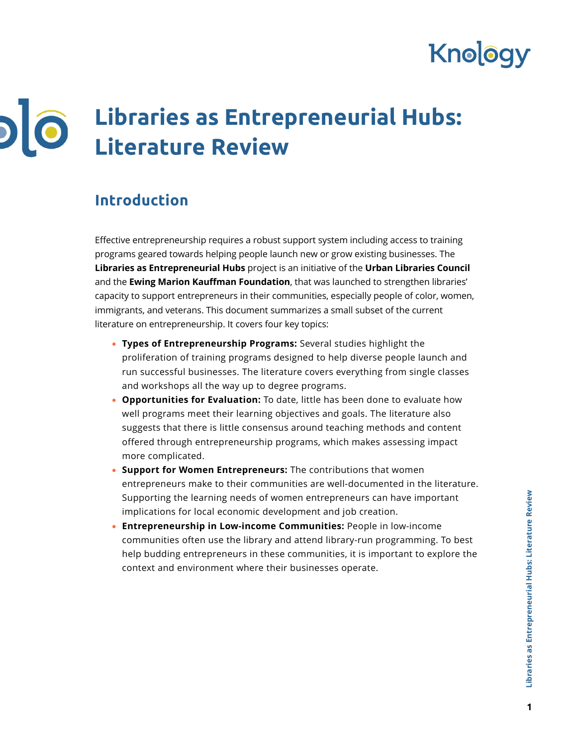# Knology

## **Libraries as Entrepreneurial Hubs:**   $\overline{\phantom{0}}$  $\bullet$ **Literature Review**

# **Introduction**

Effective entrepreneurship requires a robust support system including access to training programs geared towards helping people launch new or grow existing businesses. The **Libraries as Entrepreneurial Hubs** project is an initiative of the **Urban Libraries Council** and the **Ewing Marion Kauffman Foundation**, that was launched to strengthen libraries' capacity to support entrepreneurs in their communities, especially people of color, women, immigrants, and veterans. This document summarizes a small subset of the current literature on entrepreneurship. It covers four key topics:

- **Types of Entrepreneurship Programs:** Several studies highlight the proliferation of training programs designed to help diverse people launch and run successful businesses. The literature covers everything from single classes and workshops all the way up to degree programs.
- **Opportunities for Evaluation:** To date, little has been done to evaluate how well programs meet their learning objectives and goals. The literature also suggests that there is little consensus around teaching methods and content offered through entrepreneurship programs, which makes assessing impact more complicated.
- **Support for Women Entrepreneurs:** The contributions that women entrepreneurs make to their communities are well-documented in the literature. Supporting the learning needs of women entrepreneurs can have important implications for local economic development and job creation.
- **Entrepreneurship in Low-income Communities:** People in low-income communities often use the library and attend library-run programming. To best help budding entrepreneurs in these communities, it is important to explore the context and environment where their businesses operate.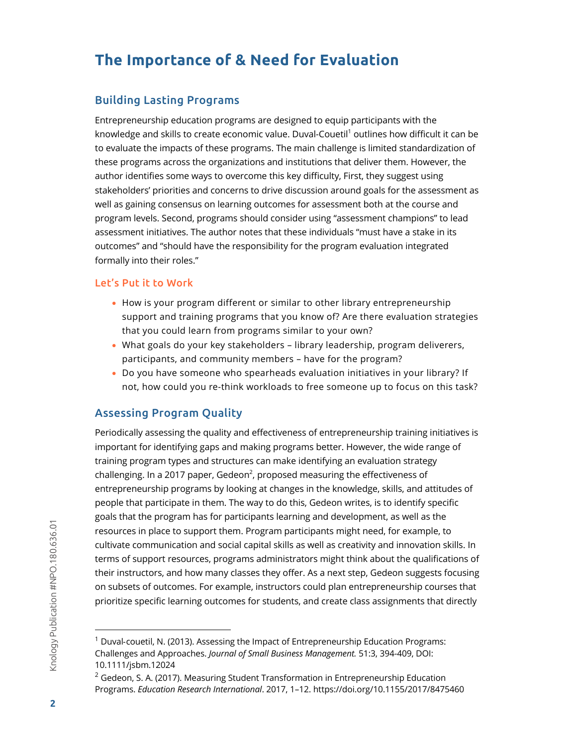# **The Importance of & Need for Evaluation**

### Building Lasting Programs

Entrepreneurship education programs are designed to equip participants with the knowledge and skills to create economic value. Duval-Couetil<sup>1</sup> outlines how difficult it can be to evaluate the impacts of these programs. The main challenge is limited standardization of these programs across the organizations and institutions that deliver them. However, the author identifies some ways to overcome this key difficulty, First, they suggest using stakeholders' priorities and concerns to drive discussion around goals for the assessment as well as gaining consensus on learning outcomes for assessment both at the course and program levels. Second, programs should consider using "assessment champions" to lead assessment initiatives. The author notes that these individuals "must have a stake in its outcomes" and "should have the responsibility for the program evaluation integrated formally into their roles."

#### Let's Put it to Work

- How is your program different or similar to other library entrepreneurship support and training programs that you know of? Are there evaluation strategies that you could learn from programs similar to your own?
- What goals do your key stakeholders library leadership, program deliverers, participants, and community members – have for the program?
- Do you have someone who spearheads evaluation initiatives in your library? If not, how could you re-think workloads to free someone up to focus on this task?

## Assessing Program Quality

Periodically assessing the quality and effectiveness of entrepreneurship training initiatives is important for identifying gaps and making programs better. However, the wide range of training program types and structures can make identifying an evaluation strategy challenging. In a 2017 paper, Gedeon<sup>2</sup>, proposed measuring the effectiveness of entrepreneurship programs by looking at changes in the knowledge, skills, and attitudes of people that participate in them. The way to do this, Gedeon writes, is to identify specific goals that the program has for participants learning and development, as well as the resources in place to support them. Program participants might need, for example, to cultivate communication and social capital skills as well as creativity and innovation skills. In terms of support resources, programs administrators might think about the qualifications of their instructors, and how many classes they offer. As a next step, Gedeon suggests focusing on subsets of outcomes. For example, instructors could plan entrepreneurship courses that prioritize specific learning outcomes for students, and create class assignments that directly

 $1$  Duval-couetil, N. (2013). Assessing the Impact of Entrepreneurship Education Programs: Challenges and Approaches. *Journal of Small Business Management.* 51:3, 394-409, DOI: 10.1111/jsbm.12024

 $2$  Gedeon, S. A. (2017). Measuring Student Transformation in Entrepreneurship Education Programs. *Education Research International*. 2017, 1–12. https://doi.org/10.1155/2017/8475460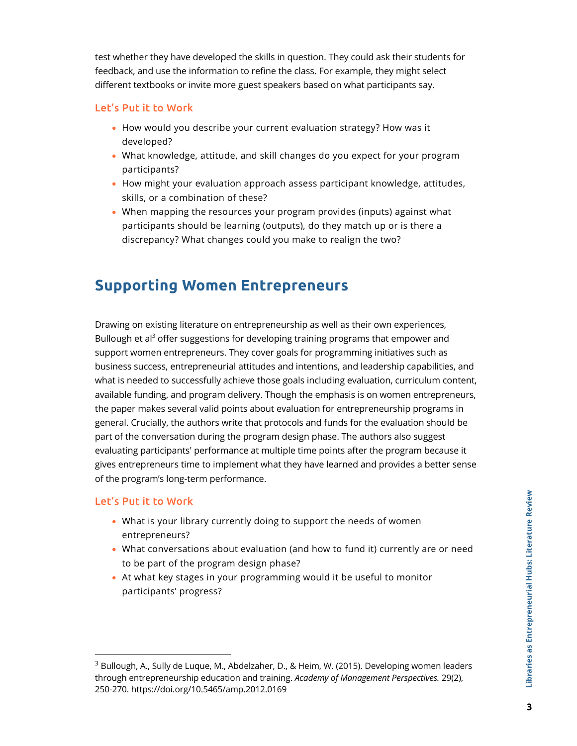test whether they have developed the skills in question. They could ask their students for feedback, and use the information to refine the class. For example, they might select different textbooks or invite more guest speakers based on what participants say.

#### Let's Put it to Work

- How would you describe your current evaluation strategy? How was it developed?
- What knowledge, attitude, and skill changes do you expect for your program participants?
- How might your evaluation approach assess participant knowledge, attitudes, skills, or a combination of these?
- When mapping the resources your program provides (inputs) against what participants should be learning (outputs), do they match up or is there a discrepancy? What changes could you make to realign the two?

## **Supporting Women Entrepreneurs**

Drawing on existing literature on entrepreneurship as well as their own experiences, Bullough et al<sup>3</sup> offer suggestions for developing training programs that empower and support women entrepreneurs. They cover goals for programming initiatives such as business success, entrepreneurial attitudes and intentions, and leadership capabilities, and what is needed to successfully achieve those goals including evaluation, curriculum content, available funding, and program delivery. Though the emphasis is on women entrepreneurs, the paper makes several valid points about evaluation for entrepreneurship programs in general. Crucially, the authors write that protocols and funds for the evaluation should be part of the conversation during the program design phase. The authors also suggest evaluating participants' performance at multiple time points after the program because it gives entrepreneurs time to implement what they have learned and provides a better sense of the program's long-term performance.

#### Let's Put it to Work

- What is your library currently doing to support the needs of women entrepreneurs?
- What conversations about evaluation (and how to fund it) currently are or need to be part of the program design phase?
- At what key stages in your programming would it be useful to monitor participants' progress?

<sup>&</sup>lt;sup>3</sup> Bullough, A., Sully de Luque, M., Abdelzaher, D., & Heim, W. (2015). Developing women leaders through entrepreneurship education and training. *Academy of Management Perspectives.* 29(2), 250-270. https://doi.org/10.5465/amp.2012.0169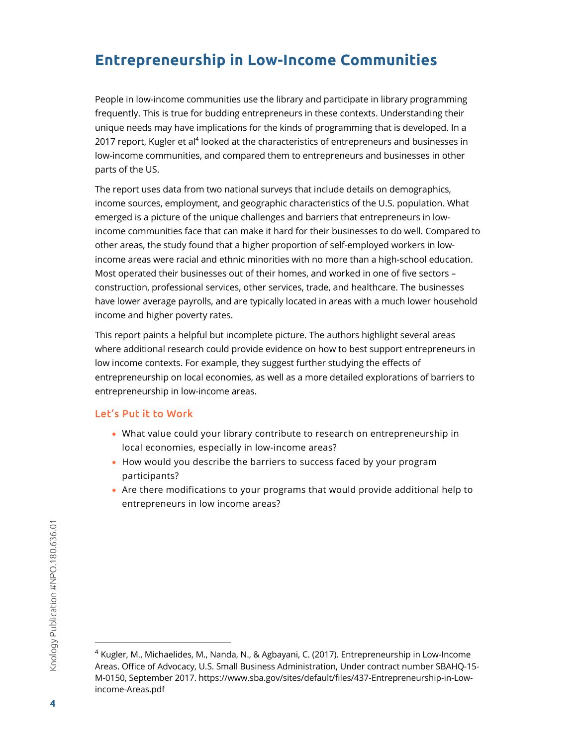## **Entrepreneurship in Low-Income Communities**

People in low-income communities use the library and participate in library programming frequently. This is true for budding entrepreneurs in these contexts. Understanding their unique needs may have implications for the kinds of programming that is developed. In a 2017 report, Kugler et al<sup>4</sup> looked at the characteristics of entrepreneurs and businesses in low-income communities, and compared them to entrepreneurs and businesses in other parts of the US.

The report uses data from two national surveys that include details on demographics, income sources, employment, and geographic characteristics of the U.S. population. What emerged is a picture of the unique challenges and barriers that entrepreneurs in lowincome communities face that can make it hard for their businesses to do well. Compared to other areas, the study found that a higher proportion of self-employed workers in lowincome areas were racial and ethnic minorities with no more than a high-school education. Most operated their businesses out of their homes, and worked in one of five sectors – construction, professional services, other services, trade, and healthcare. The businesses have lower average payrolls, and are typically located in areas with a much lower household income and higher poverty rates.

This report paints a helpful but incomplete picture. The authors highlight several areas where additional research could provide evidence on how to best support entrepreneurs in low income contexts. For example, they suggest further studying the effects of entrepreneurship on local economies, as well as a more detailed explorations of barriers to entrepreneurship in low-income areas.

#### Let's Put it to Work

- What value could your library contribute to research on entrepreneurship in local economies, especially in low-income areas?
- How would you describe the barriers to success faced by your program participants?
- Are there modifications to your programs that would provide additional help to entrepreneurs in low income areas?

<sup>4</sup> Kugler, M., Michaelides, M., Nanda, N., & Agbayani, C. (2017). Entrepreneurship in Low-Income Areas. Office of Advocacy, U.S. Small Business Administration, Under contract number SBAHQ-15- M-0150, September 2017. https://www.sba.gov/sites/default/files/437-Entrepreneurship-in-Lowincome-Areas.pdf